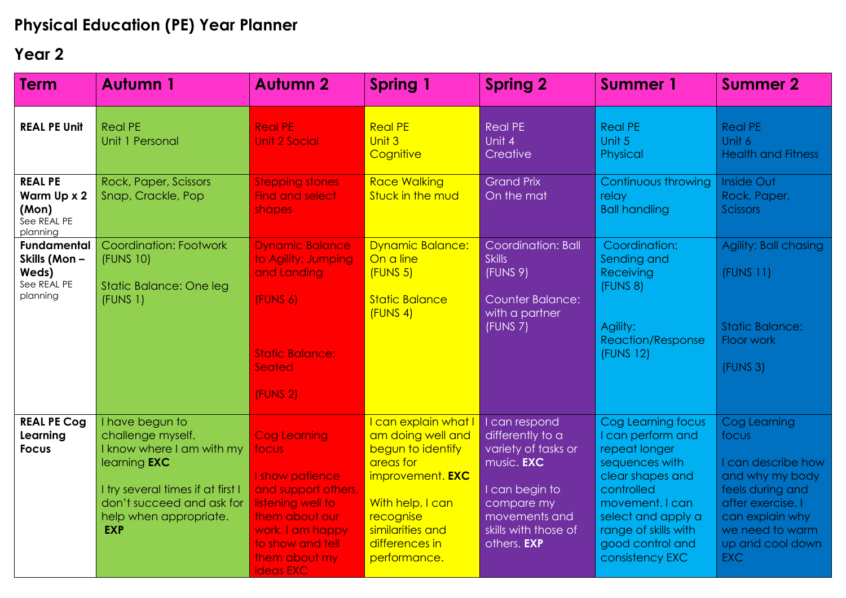## **Physical Education (PE) Year Planner**

## **Year 2**

| <b>Term</b>                                                            | <b>Autumn 1</b>                                                                                                                                                                                    | <b>Autumn 2</b>                                                                                                                                                                     | <b>Spring 1</b>                                                                                                                                                                        | <b>Spring 2</b>                                                                                                                                                              | <b>Summer 1</b>                                                                                                                                                                                                      | <b>Summer 2</b>                                                                                                                                                                 |
|------------------------------------------------------------------------|----------------------------------------------------------------------------------------------------------------------------------------------------------------------------------------------------|-------------------------------------------------------------------------------------------------------------------------------------------------------------------------------------|----------------------------------------------------------------------------------------------------------------------------------------------------------------------------------------|------------------------------------------------------------------------------------------------------------------------------------------------------------------------------|----------------------------------------------------------------------------------------------------------------------------------------------------------------------------------------------------------------------|---------------------------------------------------------------------------------------------------------------------------------------------------------------------------------|
| <b>REAL PE Unit</b>                                                    | <b>Real PE</b><br>Unit 1 Personal                                                                                                                                                                  | <b>Real PE</b><br><b>Unit 2 Social</b>                                                                                                                                              | <b>Real PE</b><br>Unit 3<br>Cognitive                                                                                                                                                  | <b>Real PE</b><br>Unit 4<br>Creative                                                                                                                                         | <b>Real PE</b><br>Unit 5<br>Physical                                                                                                                                                                                 | <b>Real PE</b><br>Unit 6<br><b>Health and Fitness</b>                                                                                                                           |
| <b>REAL PE</b><br>Warm Up x 2<br>(Mon)<br>See REAL PE<br>planning      | Rock, Paper, Scissors<br>Snap, Crackle, Pop                                                                                                                                                        | <b>Stepping stones</b><br><b>Find and select</b><br>shapes                                                                                                                          | <b>Race Walking</b><br>Stuck in the mud                                                                                                                                                | <b>Grand Prix</b><br>On the mat                                                                                                                                              | Continuous throwing<br>relay<br><b>Ball handling</b>                                                                                                                                                                 | <b>Inside Out</b><br>Rock, Paper,<br><b>Scissors</b>                                                                                                                            |
| <b>Fundamental</b><br>Skills (Mon-<br>Weds)<br>See REAL PE<br>planning | Coordination: Footwork<br>(FUNS 10)<br><b>Static Balance: One leg</b><br>(FUNS 1)                                                                                                                  | <b>Dynamic Balance</b><br>to Agility: Jumping<br>and Landing<br>(FUNS 6)<br><b>Static Balance:</b><br>Seated<br>(FUNS 2)                                                            | <b>Dynamic Balance:</b><br>On a line<br>(FUNS 5)<br><b>Static Balance</b><br>(FUNS 4)                                                                                                  | Coordination: Ball<br><b>Skills</b><br>(FUNS 9)<br><b>Counter Balance:</b><br>with a partner<br>(FUNS 7)                                                                     | Coordination:<br>Sending and<br>Receiving<br>(FUNS 8)<br>Agility:<br><b>Reaction/Response</b><br>(FUNS 12)                                                                                                           | Agility: Ball chasing<br>(FUNS 11)<br><b>Static Balance:</b><br>Floor work<br>(FUNS 3)                                                                                          |
| <b>REAL PE Cog</b><br>Learning<br><b>Focus</b>                         | I have begun to<br>challenge myself.<br>I know where I am with my<br>learning <b>EXC</b><br>I try several times if at first I<br>don't succeed and ask for<br>help when appropriate.<br><b>EXP</b> | <b>Cog Learning</b><br>focus<br>I show patience<br>and support others,<br>listening well to<br>them about our<br>work. I am happy<br>to show and tell<br>them about my<br>ideas EXC | I can explain what I<br>am doing well and<br>begun to identify<br>areas for<br>improvement. EXC<br>With help, I can<br>recognise<br>similarities and<br>differences in<br>performance. | I can respond<br>differently to a<br>variety of tasks or<br>music. <b>EXC</b><br>I can begin to<br>compare my<br>movements and<br>skills with those of<br>others. <b>EXP</b> | Cog Learning focus<br>I can perform and<br>repeat longer<br>sequences with<br>clear shapes and<br>controlled<br>movement. I can<br>select and apply a<br>range of skills with<br>good control and<br>consistency EXC | Cog Learning<br>focus<br>I can describe how<br>and why my body<br>feels during and<br>after exercise. I<br>can explain why<br>we need to warm<br>up and cool down<br><b>EXC</b> |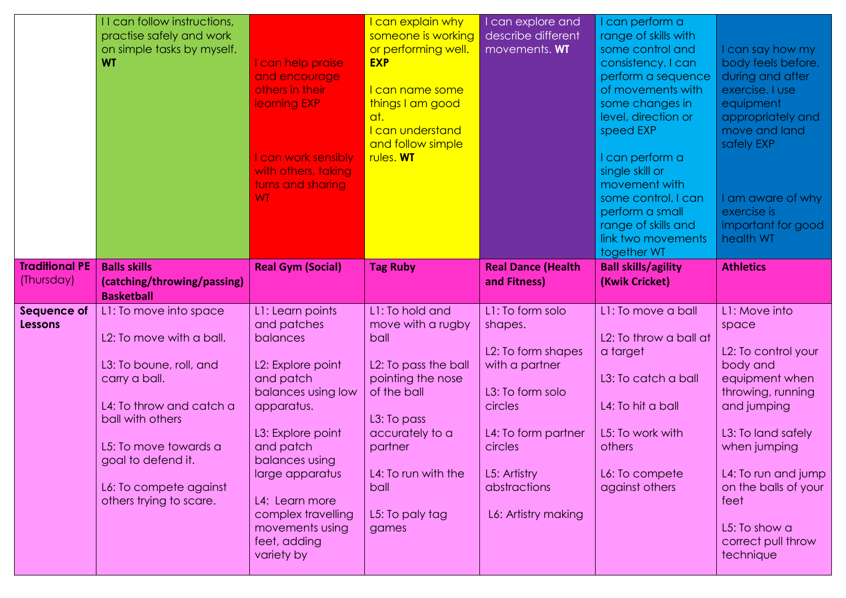|                               | II can follow instructions,<br>practise safely and work<br>on simple tasks by myself.<br><b>WT</b>                                                                                                                                                 | I can help praise<br>and encourage<br>others in their<br>learning EXP<br>I can work sensibly<br>with others, taking<br>turns and sharing<br><b>WT</b>                                                                                                                             | can explain why<br>someone is working<br>or performing well.<br><b>EXP</b><br><u>l can name some</u><br>things I am good<br>at.<br>I can understand<br>and follow simple<br>rules. WT                            | I can explore and<br>describe different<br>movements. WT                                                                                                                                    | I can perform a<br>range of skills with<br>some control and<br>consistency. I can<br>perform a sequence<br>of movements with<br>some changes in<br>level, direction or<br>speed EXP<br>I can perform a<br>single skill or<br>movement with<br>some control. I can<br>perform a small<br>range of skills and<br>link two movements<br>together WT | I can say how my<br>body feels before,<br>during and after<br>exercise. I use<br>equipment<br>appropriately and<br>move and land<br>safely EXP<br>am aware of why<br>exercise is<br>important for good<br>health WT                                              |
|-------------------------------|----------------------------------------------------------------------------------------------------------------------------------------------------------------------------------------------------------------------------------------------------|-----------------------------------------------------------------------------------------------------------------------------------------------------------------------------------------------------------------------------------------------------------------------------------|------------------------------------------------------------------------------------------------------------------------------------------------------------------------------------------------------------------|---------------------------------------------------------------------------------------------------------------------------------------------------------------------------------------------|--------------------------------------------------------------------------------------------------------------------------------------------------------------------------------------------------------------------------------------------------------------------------------------------------------------------------------------------------|------------------------------------------------------------------------------------------------------------------------------------------------------------------------------------------------------------------------------------------------------------------|
| <b>Traditional PE</b>         | <b>Balls skills</b>                                                                                                                                                                                                                                | <b>Real Gym (Social)</b>                                                                                                                                                                                                                                                          | <b>Tag Ruby</b>                                                                                                                                                                                                  | <b>Real Dance (Health</b>                                                                                                                                                                   | <b>Ball skills/agility</b>                                                                                                                                                                                                                                                                                                                       | <b>Athletics</b>                                                                                                                                                                                                                                                 |
| (Thursday)                    | (catching/throwing/passing)                                                                                                                                                                                                                        |                                                                                                                                                                                                                                                                                   |                                                                                                                                                                                                                  | and Fitness)                                                                                                                                                                                | (Kwik Cricket)                                                                                                                                                                                                                                                                                                                                   |                                                                                                                                                                                                                                                                  |
|                               | <b>Basketball</b>                                                                                                                                                                                                                                  |                                                                                                                                                                                                                                                                                   |                                                                                                                                                                                                                  |                                                                                                                                                                                             |                                                                                                                                                                                                                                                                                                                                                  |                                                                                                                                                                                                                                                                  |
| Sequence of<br><b>Lessons</b> | L1: To move into space<br>L2: To move with a ball.<br>L3: To boune, roll, and<br>carry a ball.<br>L4: To throw and catch a<br>ball with others<br>L5: To move towards a<br>goal to defend it.<br>L6: To compete against<br>others trying to scare. | L1: Learn points<br>and patches<br>balances<br>L2: Explore point<br>and patch<br>balances using low<br>apparatus.<br>L3: Explore point<br>and patch<br>balances using<br>large apparatus<br>L4: Learn more<br>complex travelling<br>movements using<br>feet, adding<br>variety by | L1: To hold and<br>move with a rugby<br>ball<br>L2: To pass the ball<br>pointing the nose<br>of the ball<br>L3: To pass<br>accurately to a<br>partner<br>L4: To run with the<br>ball<br>L5: To paly tag<br>games | L1: To form solo<br>shapes.<br>L2: To form shapes<br>with a partner<br>L3: To form solo<br>circles<br>L4: To form partner<br>circles<br>L5: Artistry<br>abstractions<br>L6: Artistry making | L1: To move a ball<br>L2: To throw a ball at<br>a target<br>L3: To catch a ball<br>L4: To hit a ball<br>L5: To work with<br>others<br>L6: To compete<br>against others                                                                                                                                                                           | L1: Move into<br>space<br>L2: To control your<br>body and<br>equipment when<br>throwing, running<br>and jumping<br>L3: To land safely<br>when jumping<br>L4: To run and jump<br>on the balls of your<br>feet<br>L5: To show a<br>correct pull throw<br>technique |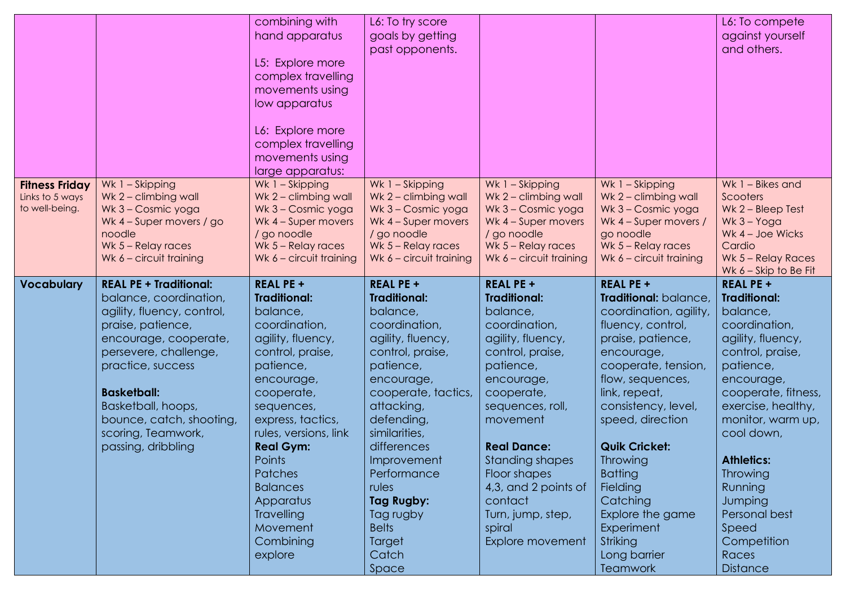|                                                            |                                                                                                                                                                                                                                                                                                       | combining with<br>hand apparatus<br>L5: Explore more<br>complex travelling<br>movements using<br>low apparatus<br>L6: Explore more<br>complex travelling<br>movements using<br>large apparatus:                                                                                                                                                      | L6: To try score<br>goals by getting<br>past opponents.                                                                                                                                                                                                                                                                                                 |                                                                                                                                                                                                                                                                                                                                              |                                                                                                                                                                                                                                                                                                                                                                                                          | L6: To compete<br>against yourself<br>and others.                                                                                                                                                                                                                                                                                                           |
|------------------------------------------------------------|-------------------------------------------------------------------------------------------------------------------------------------------------------------------------------------------------------------------------------------------------------------------------------------------------------|------------------------------------------------------------------------------------------------------------------------------------------------------------------------------------------------------------------------------------------------------------------------------------------------------------------------------------------------------|---------------------------------------------------------------------------------------------------------------------------------------------------------------------------------------------------------------------------------------------------------------------------------------------------------------------------------------------------------|----------------------------------------------------------------------------------------------------------------------------------------------------------------------------------------------------------------------------------------------------------------------------------------------------------------------------------------------|----------------------------------------------------------------------------------------------------------------------------------------------------------------------------------------------------------------------------------------------------------------------------------------------------------------------------------------------------------------------------------------------------------|-------------------------------------------------------------------------------------------------------------------------------------------------------------------------------------------------------------------------------------------------------------------------------------------------------------------------------------------------------------|
| <b>Fitness Friday</b><br>Links to 5 ways<br>to well-being. | Wk 1 - Skipping<br>Wk 2 - climbing wall<br>Wk 3 - Cosmic yoga<br>Wk 4 - Super movers / go<br>noodle<br>Wk 5 - Relay races<br>Wk $6$ – circuit training                                                                                                                                                | Wk 1 - Skipping<br>Wk 2 - climbing wall<br>Wk 3 - Cosmic yoga<br>Wk 4 - Super movers<br>/ go noodle<br>Wk $5 -$ Relay races<br>Wk $6$ – circuit training                                                                                                                                                                                             | Wk 1 - Skipping<br>Wk 2 - climbing wall<br>Wk 3 - Cosmic yoga<br>Wk 4 - Super movers<br>/ go noodle<br>Wk 5 - Relay races<br>Wk 6 - circuit training                                                                                                                                                                                                    | Wk 1 - Skipping<br>Wk 2 - climbing wall<br>Wk 3 - Cosmic yoga<br>Wk 4 - Super movers<br>/ go noodle<br>Wk $5 -$ Relay races<br>Wk $6$ – circuit training                                                                                                                                                                                     | Wk 1 - Skipping<br>Wk 2 - climbing wall<br>Wk 3 - Cosmic yoga<br>Wk 4 - Super movers /<br>go noodle<br>Wk $5 -$ Relay races<br>Wk 6 - circuit training                                                                                                                                                                                                                                                   | Wk 1 - Bikes and<br>Scooters<br>Wk 2 - Bleep Test<br>$Wk$ 3 – Yoga<br>Wk 4 - Joe Wicks<br>Cardio<br>Wk 5 - Relay Races<br>Wk $6 -$ Skip to Be Fit                                                                                                                                                                                                           |
| <b>Vocabulary</b>                                          | <b>REAL PE + Traditional:</b><br>balance, coordination,<br>agility, fluency, control,<br>praise, patience,<br>encourage, cooperate,<br>persevere, challenge,<br>practice, success<br><b>Basketball:</b><br>Basketball, hoops,<br>bounce, catch, shooting,<br>scoring, Teamwork,<br>passing, dribbling | <b>REAL PE +</b><br><b>Traditional:</b><br>balance,<br>coordination,<br>agility, fluency,<br>control, praise,<br>patience,<br>encourage,<br>cooperate,<br>sequences,<br>express, tactics,<br>rules, versions, link<br><b>Real Gym:</b><br>Points<br>Patches<br><b>Balances</b><br>Apparatus<br><b>Travelling</b><br>Movement<br>Combining<br>explore | <b>REAL PE +</b><br><b>Traditional:</b><br>balance,<br>coordination,<br>agility, fluency,<br>control, praise,<br>patience,<br>encourage,<br>cooperate, tactics,<br>attacking,<br>defending,<br>similarities,<br>differences<br>Improvement<br>Performance<br><b>rules</b><br>Tag Rugby:<br>Tag rugby<br><b>Belts</b><br><b>Target</b><br>Catch<br>Space | <b>REAL PE +</b><br><b>Traditional:</b><br>balance,<br>coordination,<br>agility, fluency,<br>control, praise,<br>patience,<br>encourage,<br>cooperate,<br>sequences, roll,<br>movement<br><b>Real Dance:</b><br><b>Standing shapes</b><br>Floor shapes<br>4,3, and 2 points of<br>contact<br>Turn, jump, step,<br>spiral<br>Explore movement | <b>REAL PE +</b><br>Traditional: balance,<br>coordination, agility,<br>fluency, control,<br>praise, patience,<br>encourage,<br>cooperate, tension,<br>flow, sequences,<br>link, repeat,<br>consistency, level,<br>speed, direction<br><b>Quik Cricket:</b><br><b>Throwing</b><br><b>Batting</b><br>Fielding<br>Catching<br>Explore the game<br>Experiment<br>Striking<br>Long barrier<br><b>Teamwork</b> | <b>REAL PE +</b><br><b>Traditional:</b><br>balance,<br>coordination,<br>agility, fluency,<br>control, praise,<br>patience,<br>encourage,<br>cooperate, fitness,<br>exercise, healthy,<br>monitor, warm up,<br>cool down,<br><b>Athletics:</b><br><b>Throwing</b><br>Running<br>Jumping<br>Personal best<br>Speed<br>Competition<br>Races<br><b>Distance</b> |